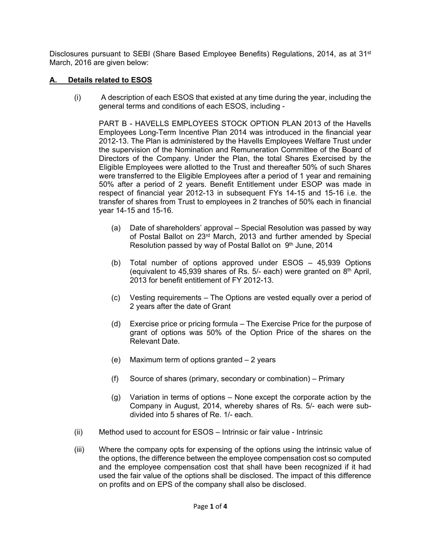Disclosures pursuant to SEBI (Share Based Employee Benefits) Regulations, 2014, as at 31<sup>st</sup> March, 2016 are given below:

## **A. Details related to ESOS**

(i) A description of each ESOS that existed at any time during the year, including the general terms and conditions of each ESOS, including -

PART B - HAVELLS EMPLOYEES STOCK OPTION PLAN 2013 of the Havells Employees Long-Term Incentive Plan 2014 was introduced in the financial year 2012-13. The Plan is administered by the Havells Employees Welfare Trust under the supervision of the Nomination and Remuneration Committee of the Board of Directors of the Company. Under the Plan, the total Shares Exercised by the Eligible Employees were allotted to the Trust and thereafter 50% of such Shares were transferred to the Eligible Employees after a period of 1 year and remaining 50% after a period of 2 years. Benefit Entitlement under ESOP was made in respect of financial year 2012-13 in subsequent FYs 14-15 and 15-16 i.e. the transfer of shares from Trust to employees in 2 tranches of 50% each in financial year 14-15 and 15-16.

- (a) Date of shareholders' approval Special Resolution was passed by way of Postal Ballot on 23<sup>rd</sup> March, 2013 and further amended by Special Resolution passed by way of Postal Ballot on 9th June, 2014
- (b) Total number of options approved under ESOS 45,939 Options (equivalent to 45,939 shares of Rs.  $5/-$  each) were granted on  $8<sup>th</sup>$  April, 2013 for benefit entitlement of FY 2012-13.
- (c) Vesting requirements The Options are vested equally over a period of 2 years after the date of Grant
- (d) Exercise price or pricing formula The Exercise Price for the purpose of grant of options was 50% of the Option Price of the shares on the Relevant Date.
- (e) Maximum term of options granted 2 years
- (f) Source of shares (primary, secondary or combination) Primary
- (g) Variation in terms of options None except the corporate action by the Company in August, 2014, whereby shares of Rs. 5/- each were subdivided into 5 shares of Re. 1/- each.
- (ii) Method used to account for ESOS Intrinsic or fair value Intrinsic
- (iii) Where the company opts for expensing of the options using the intrinsic value of the options, the difference between the employee compensation cost so computed and the employee compensation cost that shall have been recognized if it had used the fair value of the options shall be disclosed. The impact of this difference on profits and on EPS of the company shall also be disclosed.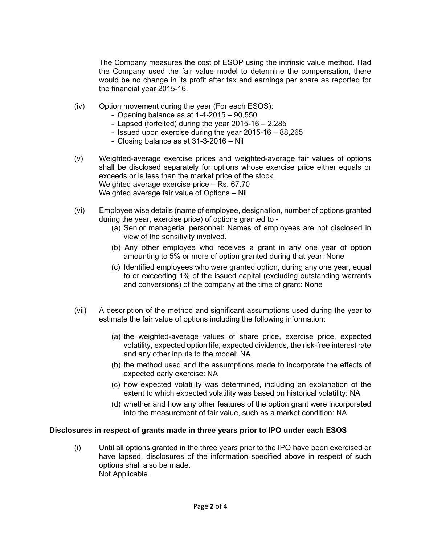The Company measures the cost of ESOP using the intrinsic value method. Had the Company used the fair value model to determine the compensation, there would be no change in its profit after tax and earnings per share as reported for the financial year 2015-16.

- (iv) Option movement during the year (For each ESOS):
	- Opening balance as at 1-4-2015 90,550
	- Lapsed (forfeited) during the year 2015-16 2,285
	- Issued upon exercise during the year 2015-16 88,265
	- Closing balance as at 31-3-2016 Nil
- (v) Weighted-average exercise prices and weighted-average fair values of options shall be disclosed separately for options whose exercise price either equals or exceeds or is less than the market price of the stock. Weighted average exercise price – Rs. 67.70 Weighted average fair value of Options – Nil
- (vi) Employee wise details (name of employee, designation, number of options granted during the year, exercise price) of options granted to -
	- (a) Senior managerial personnel: Names of employees are not disclosed in view of the sensitivity involved.
	- (b) Any other employee who receives a grant in any one year of option amounting to 5% or more of option granted during that year: None
	- (c) Identified employees who were granted option, during any one year, equal to or exceeding 1% of the issued capital (excluding outstanding warrants and conversions) of the company at the time of grant: None
- (vii) A description of the method and significant assumptions used during the year to estimate the fair value of options including the following information:
	- (a) the weighted-average values of share price, exercise price, expected volatility, expected option life, expected dividends, the risk-free interest rate and any other inputs to the model: NA
	- (b) the method used and the assumptions made to incorporate the effects of expected early exercise: NA
	- (c) how expected volatility was determined, including an explanation of the extent to which expected volatility was based on historical volatility: NA
	- (d) whether and how any other features of the option grant were incorporated into the measurement of fair value, such as a market condition: NA

#### **Disclosures in respect of grants made in three years prior to IPO under each ESOS**

(i) Until all options granted in the three years prior to the IPO have been exercised or have lapsed, disclosures of the information specified above in respect of such options shall also be made. Not Applicable.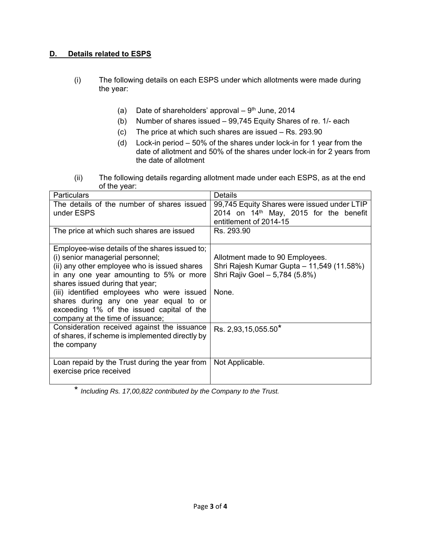# **D. Details related to ESPS**

- (i) The following details on each ESPS under which allotments were made during the year:
	- (a) Date of shareholders' approval  $-9<sup>th</sup>$  June, 2014
	- (b) Number of shares issued 99,745 Equity Shares of re. 1/- each
	- (c) The price at which such shares are issued Rs. 293.90
	- (d) Lock-in period 50% of the shares under lock-in for 1 year from the date of allotment and 50% of the shares under lock-in for 2 years from the date of allotment
- (ii) The following details regarding allotment made under each ESPS, as at the end of the year:

| <b>Particulars</b>                              | Details                                     |  |
|-------------------------------------------------|---------------------------------------------|--|
| The details of the number of shares issued      | 99,745 Equity Shares were issued under LTIP |  |
| under ESPS                                      | 2014 on $14th$ May, 2015 for the benefit    |  |
|                                                 | entitlement of 2014-15                      |  |
| The price at which such shares are issued       | Rs. 293.90                                  |  |
|                                                 |                                             |  |
| Employee-wise details of the shares issued to;  |                                             |  |
| (i) senior managerial personnel;                | Allotment made to 90 Employees.             |  |
| (ii) any other employee who is issued shares    | Shri Rajesh Kumar Gupta - 11,549 (11.58%)   |  |
| in any one year amounting to 5% or more         | Shri Rajiv Goel - 5,784 (5.8%)              |  |
| shares issued during that year;                 |                                             |  |
| (iii) identified employees who were issued      | None.                                       |  |
| shares during any one year equal to or          |                                             |  |
| exceeding 1% of the issued capital of the       |                                             |  |
| company at the time of issuance;                |                                             |  |
| Consideration received against the issuance     | Rs. 2,93,15,055.50*                         |  |
| of shares, if scheme is implemented directly by |                                             |  |
| the company                                     |                                             |  |
|                                                 |                                             |  |
| Loan repaid by the Trust during the year from   | Not Applicable.                             |  |
| exercise price received                         |                                             |  |
|                                                 |                                             |  |

\* *Including Rs. 17,00,822 contributed by the Company to the Trust.*